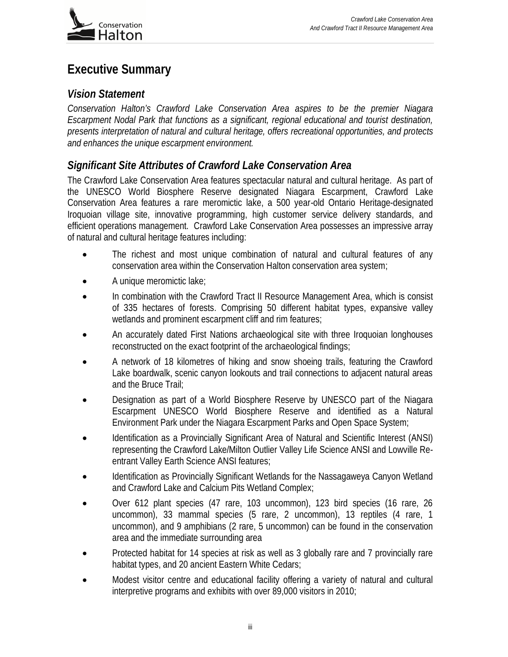

# **Executive Summary**

## *Vision Statement*

*Conservation Halton's Crawford Lake Conservation Area aspires to be the premier Niagara Escarpment Nodal Park that functions as a significant, regional educational and tourist destination, presents interpretation of natural and cultural heritage, offers recreational opportunities, and protects and enhances the unique escarpment environment.* 

# *Significant Site Attributes of Crawford Lake Conservation Area*

The Crawford Lake Conservation Area features spectacular natural and cultural heritage. As part of the UNESCO World Biosphere Reserve designated Niagara Escarpment, Crawford Lake Conservation Area features a rare meromictic lake, a 500 year-old Ontario Heritage-designated Iroquoian village site, innovative programming, high customer service delivery standards, and efficient operations management. Crawford Lake Conservation Area possesses an impressive array of natural and cultural heritage features including:

- The richest and most unique combination of natural and cultural features of any conservation area within the Conservation Halton conservation area system;
- A unique meromictic lake;
- In combination with the Crawford Tract II Resource Management Area, which is consist of 335 hectares of forests. Comprising 50 different habitat types, expansive valley wetlands and prominent escarpment cliff and rim features;
- An accurately dated First Nations archaeological site with three Iroquoian longhouses reconstructed on the exact footprint of the archaeological findings;
- A network of 18 kilometres of hiking and snow shoeing trails, featuring the Crawford Lake boardwalk, scenic canyon lookouts and trail connections to adjacent natural areas and the Bruce Trail;
- Designation as part of a World Biosphere Reserve by UNESCO part of the Niagara Escarpment UNESCO World Biosphere Reserve and identified as a Natural Environment Park under the Niagara Escarpment Parks and Open Space System;
- Identification as a Provincially Significant Area of Natural and Scientific Interest (ANSI) representing the Crawford Lake/Milton Outlier Valley Life Science ANSI and Lowville Reentrant Valley Earth Science ANSI features;
- Identification as Provincially Significant Wetlands for the Nassagaweya Canyon Wetland and Crawford Lake and Calcium Pits Wetland Complex;
- Over 612 plant species (47 rare, 103 uncommon), 123 bird species (16 rare, 26 uncommon), 33 mammal species (5 rare, 2 uncommon), 13 reptiles (4 rare, 1 uncommon), and 9 amphibians (2 rare, 5 uncommon) can be found in the conservation area and the immediate surrounding area
- Protected habitat for 14 species at risk as well as 3 globally rare and 7 provincially rare habitat types, and 20 ancient Eastern White Cedars;
- Modest visitor centre and educational facility offering a variety of natural and cultural interpretive programs and exhibits with over 89,000 visitors in 2010;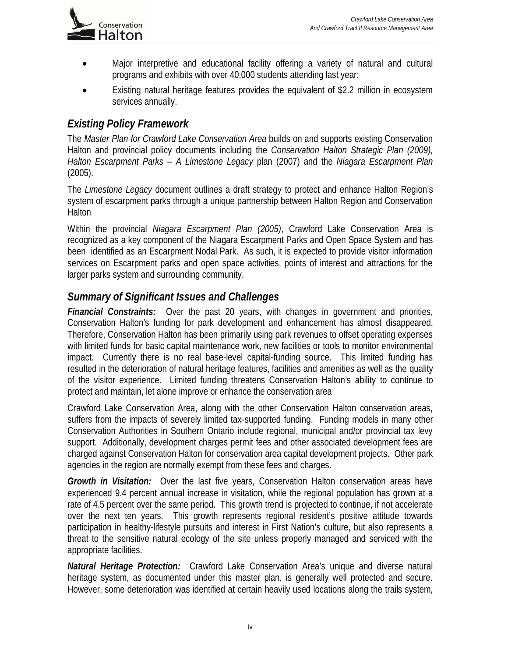

- Major interpretive and educational facility offering a variety of natural and cultural programs and exhibits with over 40,000 students attending last year;
- Existing natural heritage features provides the equivalent of \$2.2 million in ecosystem services annually.

# *Existing Policy Framework*

The *Master Plan for Crawford Lake Conservation Area* builds on and supports existing Conservation Halton and provincial policy documents including the *Conservation Halton Strategic Plan (2009), Halton Escarpment Parks – A Limestone Legacy* plan (2007) and the *Niagara Escarpment Plan*  (2005).

The *Limestone Legacy* document outlines a draft strategy to protect and enhance Halton Region's system of escarpment parks through a unique partnership between Halton Region and Conservation Halton

Within the provincial *Niagara Escarpment Plan (2005)*, Crawford Lake Conservation Area is recognized as a key component of the Niagara Escarpment Parks and Open Space System and has been identified as an Escarpment Nodal Park. As such, it is expected to provide visitor information services on Escarpment parks and open space activities, points of interest and attractions for the larger parks system and surrounding community.

## *Summary of Significant Issues and Challenges*

*Financial Constraints:* Over the past 20 years, with changes in government and priorities, Conservation Halton's funding for park development and enhancement has almost disappeared. Therefore, Conservation Halton has been primarily using park revenues to offset operating expenses with limited funds for basic capital maintenance work, new facilities or tools to monitor environmental impact. Currently there is no real base-level capital-funding source. This limited funding has resulted in the deterioration of natural heritage features, facilities and amenities as well as the quality of the visitor experience. Limited funding threatens Conservation Halton's ability to continue to protect and maintain, let alone improve or enhance the conservation area

Crawford Lake Conservation Area, along with the other Conservation Halton conservation areas, suffers from the impacts of severely limited tax-supported funding. Funding models in many other Conservation Authorities in Southern Ontario include regional, municipal and/or provincial tax levy support. Additionally, development charges permit fees and other associated development fees are charged against Conservation Halton for conservation area capital development projects. Other park agencies in the region are normally exempt from these fees and charges.

**Growth in Visitation:** Over the last five years, Conservation Halton conservation areas have experienced 9.4 percent annual increase in visitation, while the regional population has grown at a rate of 4.5 percent over the same period. This growth trend is projected to continue, if not accelerate over the next ten years. This growth represents regional resident's positive attitude towards participation in healthy-lifestyle pursuits and interest in First Nation's culture, but also represents a threat to the sensitive natural ecology of the site unless properly managed and serviced with the appropriate facilities.

*Natural Heritage Protection:* Crawford Lake Conservation Area's unique and diverse natural heritage system, as documented under this master plan, is generally well protected and secure. However, some deterioration was identified at certain heavily used locations along the trails system,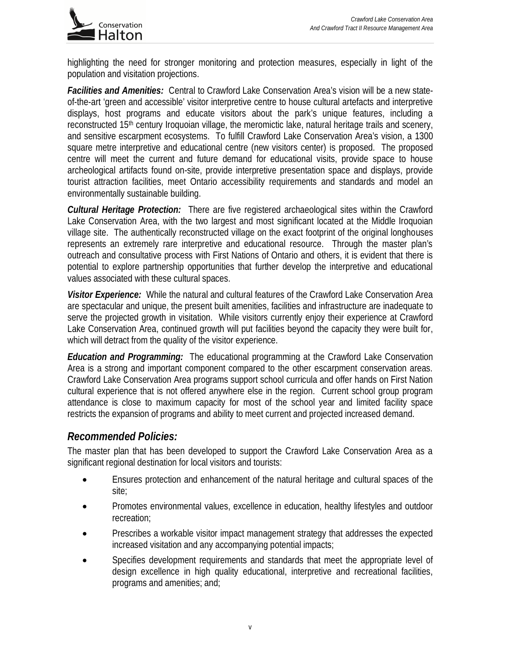

highlighting the need for stronger monitoring and protection measures, especially in light of the population and visitation projections.

*Facilities and Amenities:* Central to Crawford Lake Conservation Area's vision will be a new stateof-the-art 'green and accessible' visitor interpretive centre to house cultural artefacts and interpretive displays, host programs and educate visitors about the park's unique features, including a reconstructed 15<sup>th</sup> century Iroquoian village, the meromictic lake, natural heritage trails and scenery, and sensitive escarpment ecosystems. To fulfill Crawford Lake Conservation Area's vision, a 1300 square metre interpretive and educational centre (new visitors center) is proposed. The proposed centre will meet the current and future demand for educational visits, provide space to house archeological artifacts found on-site, provide interpretive presentation space and displays, provide tourist attraction facilities, meet Ontario accessibility requirements and standards and model an environmentally sustainable building.

*Cultural Heritage Protection:* There are five registered archaeological sites within the Crawford Lake Conservation Area, with the two largest and most significant located at the Middle Iroquoian village site. The authentically reconstructed village on the exact footprint of the original longhouses represents an extremely rare interpretive and educational resource. Through the master plan's outreach and consultative process with First Nations of Ontario and others, it is evident that there is potential to explore partnership opportunities that further develop the interpretive and educational values associated with these cultural spaces.

*Visitor Experience:* While the natural and cultural features of the Crawford Lake Conservation Area are spectacular and unique, the present built amenities, facilities and infrastructure are inadequate to serve the projected growth in visitation. While visitors currently enjoy their experience at Crawford Lake Conservation Area, continued growth will put facilities beyond the capacity they were built for, which will detract from the quality of the visitor experience.

*Education and Programming:* The educational programming at the Crawford Lake Conservation Area is a strong and important component compared to the other escarpment conservation areas. Crawford Lake Conservation Area programs support school curricula and offer hands on First Nation cultural experience that is not offered anywhere else in the region. Current school group program attendance is close to maximum capacity for most of the school year and limited facility space restricts the expansion of programs and ability to meet current and projected increased demand.

## *Recommended Policies:*

The master plan that has been developed to support the Crawford Lake Conservation Area as a significant regional destination for local visitors and tourists:

- Ensures protection and enhancement of the natural heritage and cultural spaces of the site;
- Promotes environmental values, excellence in education, healthy lifestyles and outdoor recreation;
- Prescribes a workable visitor impact management strategy that addresses the expected increased visitation and any accompanying potential impacts;
- Specifies development requirements and standards that meet the appropriate level of design excellence in high quality educational, interpretive and recreational facilities, programs and amenities; and;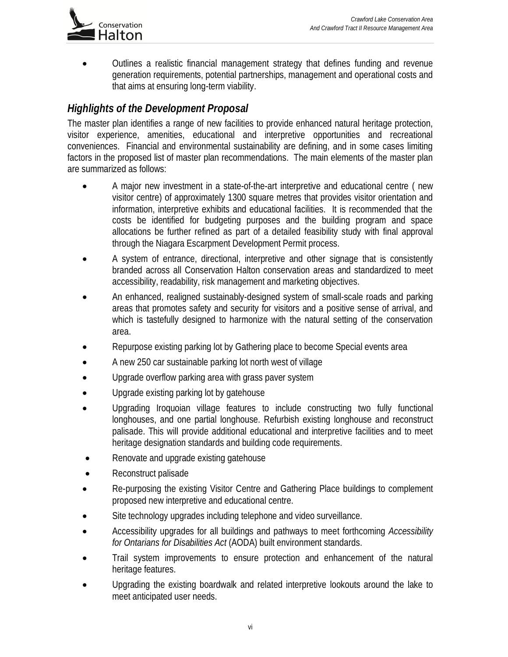

 Outlines a realistic financial management strategy that defines funding and revenue generation requirements, potential partnerships, management and operational costs and that aims at ensuring long-term viability.

# *Highlights of the Development Proposal*

The master plan identifies a range of new facilities to provide enhanced natural heritage protection, visitor experience, amenities, educational and interpretive opportunities and recreational conveniences. Financial and environmental sustainability are defining, and in some cases limiting factors in the proposed list of master plan recommendations. The main elements of the master plan are summarized as follows:

- A major new investment in a state-of-the-art interpretive and educational centre ( new visitor centre) of approximately 1300 square metres that provides visitor orientation and information, interpretive exhibits and educational facilities. It is recommended that the costs be identified for budgeting purposes and the building program and space allocations be further refined as part of a detailed feasibility study with final approval through the Niagara Escarpment Development Permit process.
- A system of entrance, directional, interpretive and other signage that is consistently branded across all Conservation Halton conservation areas and standardized to meet accessibility, readability, risk management and marketing objectives.
- An enhanced, realigned sustainably-designed system of small-scale roads and parking areas that promotes safety and security for visitors and a positive sense of arrival, and which is tastefully designed to harmonize with the natural setting of the conservation area.
- Repurpose existing parking lot by Gathering place to become Special events area
- A new 250 car sustainable parking lot north west of village
- Upgrade overflow parking area with grass paver system
- Upgrade existing parking lot by gatehouse
- Upgrading Iroquoian village features to include constructing two fully functional longhouses, and one partial longhouse. Refurbish existing longhouse and reconstruct palisade. This will provide additional educational and interpretive facilities and to meet heritage designation standards and building code requirements.
- Renovate and upgrade existing gatehouse
- Reconstruct palisade
- Re-purposing the existing Visitor Centre and Gathering Place buildings to complement proposed new interpretive and educational centre.
- Site technology upgrades including telephone and video surveillance.
- Accessibility upgrades for all buildings and pathways to meet forthcoming *Accessibility for Ontarians for Disabilities Act* (AODA) built environment standards.
- Trail system improvements to ensure protection and enhancement of the natural heritage features.
- Upgrading the existing boardwalk and related interpretive lookouts around the lake to meet anticipated user needs.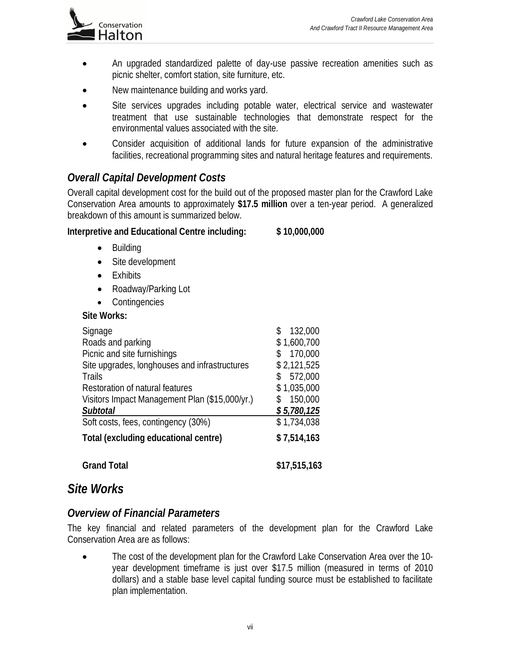

- An upgraded standardized palette of day-use passive recreation amenities such as picnic shelter, comfort station, site furniture, etc.
- New maintenance building and works yard.
- Site services upgrades including potable water, electrical service and wastewater treatment that use sustainable technologies that demonstrate respect for the environmental values associated with the site.
- Consider acquisition of additional lands for future expansion of the administrative facilities, recreational programming sites and natural heritage features and requirements.

# *Overall Capital Development Costs*

Overall capital development cost for the build out of the proposed master plan for the Crawford Lake Conservation Area amounts to approximately **\$17.5 million** over a ten-year period. A generalized breakdown of this amount is summarized below.

#### **Interpretive and Educational Centre including: \$ 10,000,000**

- Building
- Site development
- Exhibits
- Roadway/Parking Lot
- Contingencies

#### **Site Works:**

| Signage<br>Roads and parking<br>Picnic and site furnishings<br>Site upgrades, longhouses and infrastructures<br><b>Trails</b><br>Restoration of natural features | 132,000<br>S<br>\$1,600,700<br>170,000<br>\$2,121,525<br>572,000<br>\$<br>\$1,035,000 |
|------------------------------------------------------------------------------------------------------------------------------------------------------------------|---------------------------------------------------------------------------------------|
| Visitors Impact Management Plan (\$15,000/yr.)<br><b>Subtotal</b>                                                                                                | 150,000<br>\$<br>\$5,780,125                                                          |
| Soft costs, fees, contingency (30%)                                                                                                                              | \$1,734,038                                                                           |
| <b>Total (excluding educational centre)</b>                                                                                                                      | \$7,514,163                                                                           |
| <b>Grand Total</b>                                                                                                                                               | \$17,515,163                                                                          |

## *Site Works*

#### *Overview of Financial Parameters*

The key financial and related parameters of the development plan for the Crawford Lake Conservation Area are as follows:

 The cost of the development plan for the Crawford Lake Conservation Area over the 10 year development timeframe is just over \$17.5 million (measured in terms of 2010 dollars) and a stable base level capital funding source must be established to facilitate plan implementation.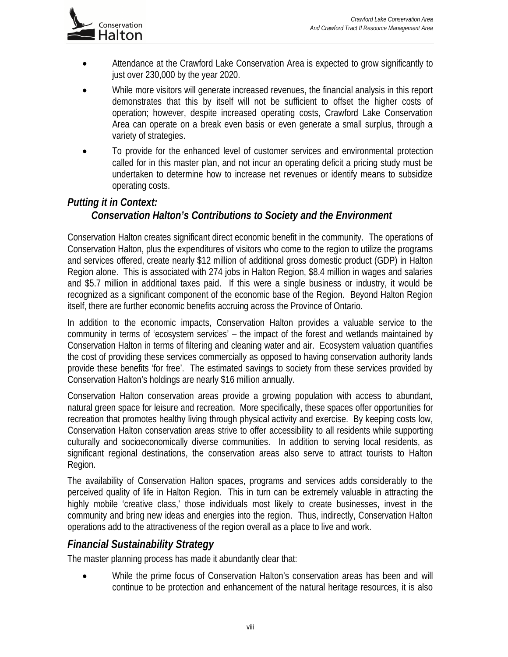

- Attendance at the Crawford Lake Conservation Area is expected to grow significantly to just over 230,000 by the year 2020.
- While more visitors will generate increased revenues, the financial analysis in this report demonstrates that this by itself will not be sufficient to offset the higher costs of operation; however, despite increased operating costs, Crawford Lake Conservation Area can operate on a break even basis or even generate a small surplus, through a variety of strategies.
- To provide for the enhanced level of customer services and environmental protection called for in this master plan, and not incur an operating deficit a pricing study must be undertaken to determine how to increase net revenues or identify means to subsidize operating costs.

# *Putting it in Context: Conservation Halton's Contributions to Society and the Environment*

Conservation Halton creates significant direct economic benefit in the community. The operations of Conservation Halton, plus the expenditures of visitors who come to the region to utilize the programs and services offered, create nearly \$12 million of additional gross domestic product (GDP) in Halton Region alone. This is associated with 274 jobs in Halton Region, \$8.4 million in wages and salaries and \$5.7 million in additional taxes paid. If this were a single business or industry, it would be recognized as a significant component of the economic base of the Region. Beyond Halton Region itself, there are further economic benefits accruing across the Province of Ontario.

In addition to the economic impacts, Conservation Halton provides a valuable service to the community in terms of 'ecosystem services' – the impact of the forest and wetlands maintained by Conservation Halton in terms of filtering and cleaning water and air. Ecosystem valuation quantifies the cost of providing these services commercially as opposed to having conservation authority lands provide these benefits 'for free'. The estimated savings to society from these services provided by Conservation Halton's holdings are nearly \$16 million annually.

Conservation Halton conservation areas provide a growing population with access to abundant, natural green space for leisure and recreation. More specifically, these spaces offer opportunities for recreation that promotes healthy living through physical activity and exercise. By keeping costs low, Conservation Halton conservation areas strive to offer accessibility to all residents while supporting culturally and socioeconomically diverse communities. In addition to serving local residents, as significant regional destinations, the conservation areas also serve to attract tourists to Halton Region.

The availability of Conservation Halton spaces, programs and services adds considerably to the perceived quality of life in Halton Region. This in turn can be extremely valuable in attracting the highly mobile 'creative class,' those individuals most likely to create businesses, invest in the community and bring new ideas and energies into the region. Thus, indirectly, Conservation Halton operations add to the attractiveness of the region overall as a place to live and work.

## *Financial Sustainability Strategy*

The master planning process has made it abundantly clear that:

 While the prime focus of Conservation Halton's conservation areas has been and will continue to be protection and enhancement of the natural heritage resources, it is also